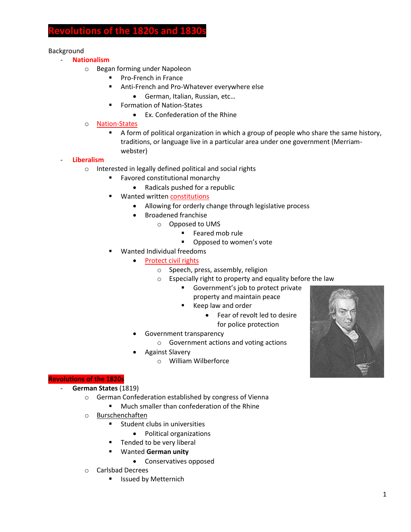# **Relations of the 1820s and 183**

### Background

- **Nationalism**
	- o Began forming under Napoleon
		- Pro-French in France
		- Anti-French and Pro-Whatever everywhere else
			- German, Italian, Russian, etc…
		- **Formation of Nation-States** 
			- Ex. Confederation of the Rhine
	- o Nation-States
		- A form of political organization in which a group of people who share the same history, traditions, or language live in a particular area under one government (Merriamwebster)

### - **Liberalism**

- o Interested in legally defined political and social rights
	- Favored constitutional monarchy
		- Radicals pushed for a republic
	- Wanted written constitutions
		- Allowing for orderly change through legislative process
		- Broadened franchise
			- o Opposed to UMS
				- **Feared mob rule**
				- **•** Opposed to women's vote
	- Wanted Individual freedoms
		- Protect civil rights
			- o Speech, press, assembly, religion
			- o Especially right to property and equality before the law
				- Government's job to protect private property and maintain peace
				- Keep law and order
					- Fear of revolt led to desire for police protection
		- Government transparency
			- o Government actions and voting actions
			- Against Slavery
				- o William Wilberforce

## **Revolutions of the 1820s**

- **German States** (1819)
	- o German Confederation established by congress of Vienna
		- **Much smaller than confederation of the Rhine**
	- o Burschenchaften
		- **Student clubs in universities** 
			- Political organizations
			- Tended to be very liberal
		- Wanted **German unity**
			- Conservatives opposed
	- o Carlsbad Decrees
		- **E** Issued by Metternich

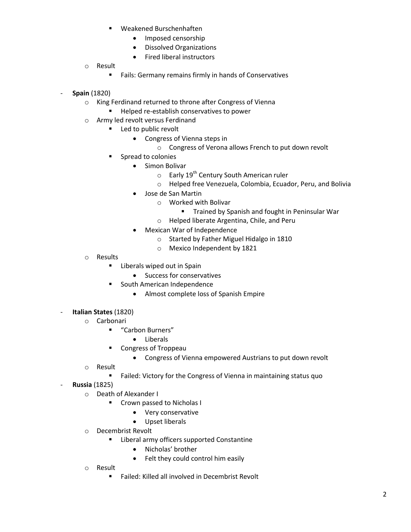- Weakened Burschenhaften
	- Imposed censorship
	- Dissolved Organizations
	- Fired liberal instructors
- o Result
	- **Fails: Germany remains firmly in hands of Conservatives**
- **Spain** (1820)
	- o King Ferdinand returned to throne after Congress of Vienna
		- Helped re-establish conservatives to power
	- o Army led revolt versus Ferdinand
		- **Led to public revolt** 
			- Congress of Vienna steps in
				- o Congress of Verona allows French to put down revolt
			- **Spread to colonies** 
				- **•** Simon Bolivar
					- $\circ$  Early 19<sup>th</sup> Century South American ruler
					- o Helped free Venezuela, Colombia, Ecuador, Peru, and Bolivia
				- Jose de San Martin
					- o Worked with Bolivar
						- **Trained by Spanish and fought in Peninsular War**
					- o Helped liberate Argentina, Chile, and Peru
				- Mexican War of Independence
					- o Started by Father Miguel Hidalgo in 1810
					- o Mexico Independent by 1821
	- o Results
		- **E** Liberals wiped out in Spain
			- Success for conservatives
		- South American Independence
			- Almost complete loss of Spanish Empire
- **Italian States** (1820)
	- o Carbonari
		- "Carbon Burners"
			- Liberals
		- Congress of Troppeau
			- Congress of Vienna empowered Austrians to put down revolt
	- o Result
		- **Failed: Victory for the Congress of Vienna in maintaining status quo**
- **Russia** (1825)
	- o Death of Alexander I
		- **Crown passed to Nicholas I** 
			- Very conservative
			- Upset liberals
	- o Decembrist Revolt
		- **E** Liberal army officers supported Constantine
			- Nicholas' brother
			- Felt they could control him easily
	- o Result
		- **Failed: Killed all involved in Decembrist Revolt**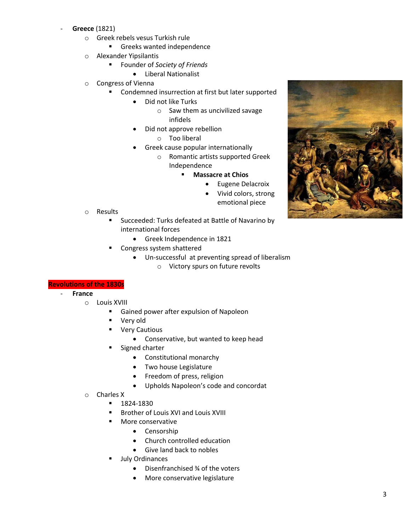#### - **Greece** (1821)

- o Greek rebels vesus Turkish rule
	- **Greeks wanted independence**
- o Alexander Yipsilantis
	- Founder of *Society of Friends*
		- Liberal Nationalist
- o Congress of Vienna
	- Condemned insurrection at first but later supported
		- Did not like Turks
			- o Saw them as uncivilized savage infidels
		- Did not approve rebellion
			- o Too liberal
		- Greek cause popular internationally
			- o Romantic artists supported Greek Independence
				- **Massacre at Chios**
					- **•** Eugene Delacroix
					- Vivid colors, strong emotional piece

- o Results
	- Succeeded: Turks defeated at Battle of Navarino by international forces
		- Greek Independence in 1821
	- Congress system shattered
		- Un-successful at preventing spread of liberalism
			- o Victory spurs on future revolts

#### **Revolutions of the 1830s**

- **France**
	- o Louis XVIII
		- **Gained power after expulsion of Napoleon**
		- Very old
		- **Very Cautious** 
			- Conservative, but wanted to keep head
		- Signed charter
			- Constitutional monarchy
			- Two house Legislature
			- Freedom of press, religion
			- Upholds Napoleon's code and concordat
	- o Charles X
		- $-1824-1830$
		- **Brother of Louis XVI and Louis XVIII**
		- **More conservative** 
			- Censorship
			- Church controlled education
			- Give land back to nobles
		- July Ordinances
			- Disenfranchised ¾ of the voters
			- More conservative legislature

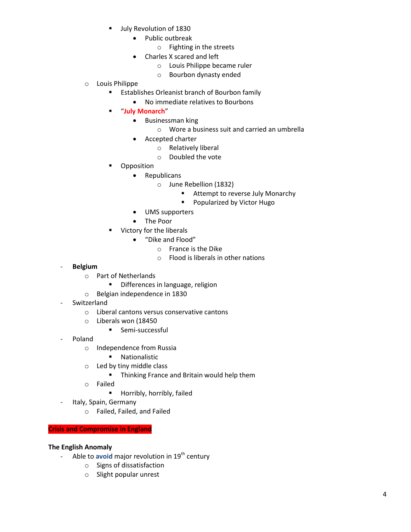- July Revolution of 1830
	- Public outbreak
		- o Fighting in the streets
	- Charles X scared and left
		- o Louis Philippe became ruler
		- o Bourbon dynasty ended
- o Louis Philippe
	- **Establishes Orleanist branch of Bourbon family** 
		- No immediate relatives to Bourbons
	- "**July Monarch**"
		- **•** Businessman king
			- o Wore a business suit and carried an umbrella
		- Accepted charter
			- o Relatively liberal
			- o Doubled the vote
	- Opposition
		- Republicans
			- o June Rebellion (1832)
				- **EXTEND Attempt to reverse July Monarchy**
				- **Popularized by Victor Hugo**
		- UMS supporters
		- The Poor
	- Victory for the liberals
		- "Dike and Flood"
			- o France is the Dike
			- o Flood is liberals in other nations

- **Belgium**
	- o Part of Netherlands
		- **•** Differences in language, religion
	- o Belgian independence in 1830
- Switzerland
	- o Liberal cantons versus conservative cantons
	- o Liberals won (18450
		- **Semi-successful**
- Poland
	- o Independence from Russia
		- **Nationalistic**
	- o Led by tiny middle class
		- **F** Thinking France and Britain would help them
	- o Failed
		- **Horribly, horribly, failed**
- Italy, Spain, Germany
	- o Failed, Failed, and Failed

#### **Crisis and Compromise in England**

#### **The English Anomaly**

- Able to avoid major revolution in 19<sup>th</sup> century
	- o Signs of dissatisfaction
	- o Slight popular unrest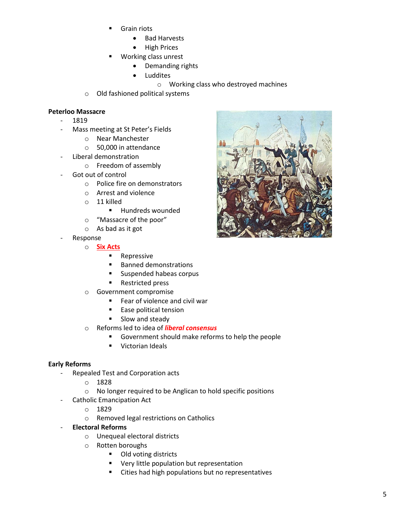- Grain riots
	- Bad Harvests
	- High Prices
- Working class unrest
	- Demanding rights
		- Luddites
			- o Working class who destroyed machines
- o Old fashioned political systems

## **Peterloo Massacre**

- 1819
- Mass meeting at St Peter's Fields
	- o Near Manchester
	- o 50,000 in attendance
- Liberal demonstration
	- o Freedom of assembly
- Got out of control
	- o Police fire on demonstrators
	- o Arrest and violence
	- o 11 killed
		- **Hundreds wounded**
	- o "Massacre of the poor"
	- o As bad as it got
- **Response** 
	- o **Six Acts**
		- **Repressive**
		- Banned demonstrations
		- Suspended habeas corpus
		- **Restricted press**
	- o Government compromise
		- Fear of violence and civil war
		- **Ease political tension**
		- **Slow and steady**
	- o Reforms led to idea of *liberal consensus*
		- Government should make reforms to help the people
		- **Victorian Ideals**

#### **Early Reforms**

- Repealed Test and Corporation acts
	- o 1828
	- o No longer required to be Anglican to hold specific positions
- Catholic Emancipation Act
	- o 1829
	- o Removed legal restrictions on Catholics
- **Electoral Reforms**
	- o Unequeal electoral districts
	- o Rotten boroughs
		- **Old voting districts**
		- Very little population but representation
		- Cities had high populations but no representatives

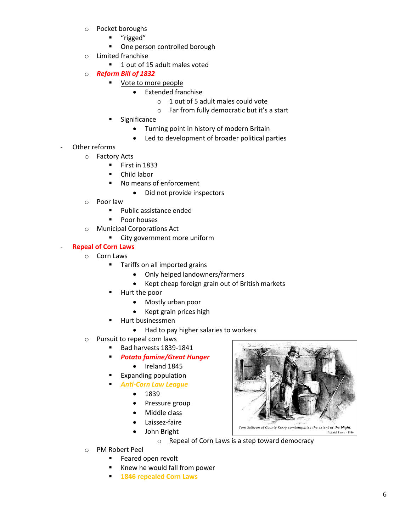- o Pocket boroughs
	- "rigged"
	- **•** One person controlled borough
- o Limited franchise
	- 1 out of 15 adult males voted
- o *Reform Bill of 1832*
	- Vote to more people
		- **•** Extended franchise
			- o 1 out of 5 adult males could vote
			- o Far from fully democratic but it's a start
	- Significance
		- Turning point in history of modern Britain
		- Led to development of broader political parties
- Other reforms
	- o Factory Acts
		- **First in 1833**
		- Child labor
		- No means of enforcement
			- Did not provide inspectors
		- o Poor law
			- **Public assistance ended**
			- **Poor houses**
		- o Municipal Corporations Act
			- **EXECT:** City government more uniform

## - **Repeal of Corn Laws**

- o Corn Laws
	- **Tariffs on all imported grains** 
		- Only helped landowners/farmers
		- Kept cheap foreign grain out of British markets
	- Hurt the poor
		- Mostly urban poor
		- Kept grain prices high
	- Hurt businessmen
		- Had to pay higher salaries to workers
- o Pursuit to repeal corn laws
	- Bad harvests 1839-1841
	- *Potato famine/Great Hunger*
		- $\bullet$  Ireland 1845
		- Expanding population
	- *Anti-Corn Law League*
		- 1839
		- Pressure group
		- Middle class
		- Laissez-faire
		- John Bright

o Repeal of Corn Laws is a step toward democracy

- o PM Robert Peel
	- **Feared open revolt**
	- Knew he would fall from power
	- **1846 repealed Corn Laws**